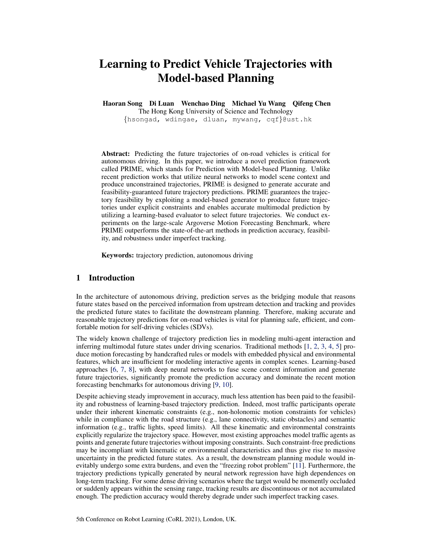# Learning to Predict Vehicle Trajectories with Model-based Planning

Haoran Song Di Luan Wenchao Ding Michael Yu Wang Qifeng Chen

The Hong Kong University of Science and Technology

{hsongad, wdingae, dluan, mywang, cqf}@ust.hk

Abstract: Predicting the future trajectories of on-road vehicles is critical for autonomous driving. In this paper, we introduce a novel prediction framework called PRIME, which stands for Prediction with Model-based Planning. Unlike recent prediction works that utilize neural networks to model scene context and produce unconstrained trajectories, PRIME is designed to generate accurate and feasibility-guaranteed future trajectory predictions. PRIME guarantees the trajectory feasibility by exploiting a model-based generator to produce future trajectories under explicit constraints and enables accurate multimodal prediction by utilizing a learning-based evaluator to select future trajectories. We conduct experiments on the large-scale Argoverse Motion Forecasting Benchmark, where PRIME outperforms the state-of-the-art methods in prediction accuracy, feasibility, and robustness under imperfect tracking.

Keywords: trajectory prediction, autonomous driving

# 1 Introduction

In the architecture of autonomous driving, prediction serves as the bridging module that reasons future states based on the perceived information from upstream detection and tracking and provides the predicted future states to facilitate the downstream planning. Therefore, making accurate and reasonable trajectory predictions for on-road vehicles is vital for planning safe, efficient, and comfortable motion for self-driving vehicles (SDVs).

The widely known challenge of trajectory prediction lies in modeling multi-agent interaction and inferring multimodal future states under driving scenarios. Traditional methods [1, 2, 3, 4, 5] produce motion forecasting by handcrafted rules or models with embedded physical and environmental features, which are insufficient for modeling interactive agents in complex scenes. Learning-based approaches [6, 7, 8], with deep neural networks to fuse scene context information and generate future trajectories, significantly promote the prediction accuracy and dominate the recent motion forecasting benchmarks for autonomous driving [9, 10].

Despite achieving steady improvement in accuracy, much less attention has been paid to the feasibility and robustness of learning-based trajectory prediction. Indeed, most traffic participants operate under their inherent kinematic constraints (e.g., non-holonomic motion constraints for vehicles) while in compliance with the road structure (e.g., lane connectivity, static obstacles) and semantic information (e.g., traffic lights, speed limits). All these kinematic and environmental constraints explicitly regularize the trajectory space. However, most existing approaches model traffic agents as points and generate future trajectories without imposing constraints. Such constraint-free predictions may be incompliant with kinematic or environmental characteristics and thus give rise to massive uncertainty in the predicted future states. As a result, the downstream planning module would inevitably undergo some extra burdens, and even the "freezing robot problem" [11]. Furthermore, the trajectory predictions typically generated by neural network regression have high dependences on long-term tracking. For some dense driving scenarios where the target would be momently occluded or suddenly appears within the sensing range, tracking results are discontinuous or not accumulated enough. The prediction accuracy would thereby degrade under such imperfect tracking cases.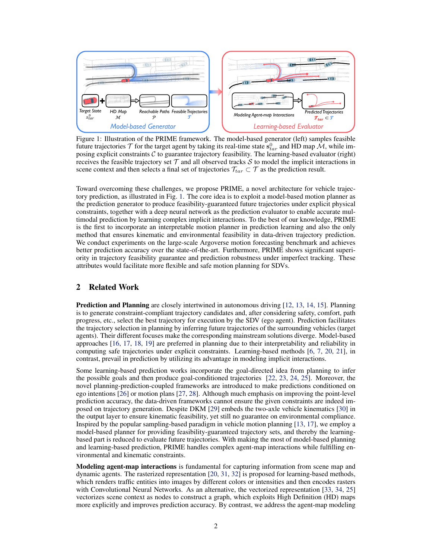

Figure 1: Illustration of the PRIME framework. The model-based generator (left) samples feasible future trajectories  $\mathcal T$  for the target agent by taking its real-time state  $\mathbf{s}_{tar}^0$  and HD map  $\mathcal M$ , while imposing explicit constraints  $C$  to guarantee trajectory feasibility. The learning-based evaluator (right) receives the feasible trajectory set  $\mathcal T$  and all observed tracks  $\mathcal S$  to model the implicit interactions in scene context and then selects a final set of trajectories  $\mathcal{T}_{tar} \subset \mathcal{T}$  as the prediction result.

Toward overcoming these challenges, we propose PRIME, a novel architecture for vehicle trajectory prediction, as illustrated in Fig. 1. The core idea is to exploit a model-based motion planner as the prediction generator to produce feasibility-guaranteed future trajectories under explicit physical constraints, together with a deep neural network as the prediction evaluator to enable accurate multimodal prediction by learning complex implicit interactions. To the best of our knowledge, PRIME is the first to incorporate an interpretable motion planner in prediction learning and also the only method that ensures kinematic and environmental feasibility in data-driven trajectory prediction. We conduct experiments on the large-scale Argoverse motion forecasting benchmark and achieves better prediction accuracy over the state-of-the-art. Furthermore, PRIME shows significant superiority in trajectory feasibility guarantee and prediction robustness under imperfect tracking. These attributes would facilitate more flexible and safe motion planning for SDVs.

# 2 Related Work

**Prediction and Planning** are closely intertwined in autonomous driving [12, 13, 14, 15]. Planning is to generate constraint-compliant trajectory candidates and, after considering safety, comfort, path progress, etc., select the best trajectory for execution by the SDV (ego agent). Prediction facilitates the trajectory selection in planning by inferring future trajectories of the surrounding vehicles (target agents). Their different focuses make the corresponding mainstream solutions diverge. Model-based approaches [16, 17, 18, 19] are preferred in planning due to their interpretability and reliability in computing safe trajectories under explicit constraints. Learning-based methods [6, 7, 20, 21], in contrast, prevail in prediction by utilizing its advantage in modeling implicit interactions.

Some learning-based prediction works incorporate the goal-directed idea from planning to infer the possible goals and then produce goal-conditioned trajectories [22, 23, 24, 25]. Moreover, the novel planning-prediction-coupled frameworks are introduced to make predictions conditioned on ego intentions [26] or motion plans [27, 28]. Although much emphasis on improving the point-level prediction accuracy, the data-driven frameworks cannot ensure the given constraints are indeed imposed on trajectory generation. Despite DKM [29] embeds the two-axle vehicle kinematics [30] in the output layer to ensure kinematic feasibility, yet still no guarantee on environmental compliance. Inspired by the popular sampling-based paradigm in vehicle motion planning [13, 17], we employ a model-based planner for providing feasibility-guaranteed trajectory sets, and thereby the learningbased part is reduced to evaluate future trajectories. With making the most of model-based planning and learning-based prediction, PRIME handles complex agent-map interactions while fulfilling environmental and kinematic constraints.

**Modeling agent-map interactions** is fundamental for capturing information from scene map and dynamic agents. The rasterized representation [20, 31, 32] is proposed for learning-based methods, which renders traffic entities into images by different colors or intensities and then encodes rasters with Convolutional Neural Networks. As an alternative, the vectorized representation [33, 34, 25] vectorizes scene context as nodes to construct a graph, which exploits High Definition (HD) maps more explicitly and improves prediction accuracy. By contrast, we address the agent-map modeling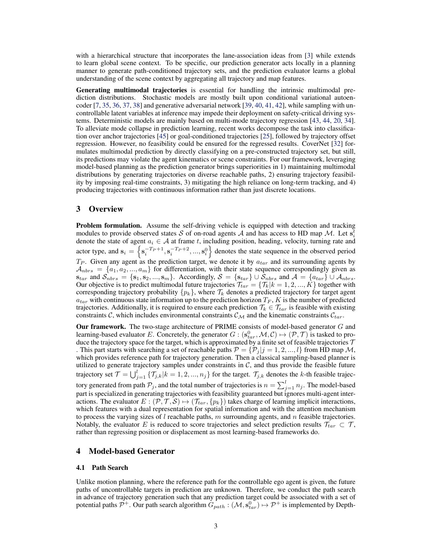with a hierarchical structure that incorporates the lane-association ideas from [3] while extends to learn global scene context. To be specific, our prediction generator acts locally in a planning manner to generate path-conditioned trajectory sets, and the prediction evaluator learns a global understanding of the scene context by aggregating all trajectory and map features.

Generating multimodal trajectories is essential for handling the intrinsic multimodal prediction distributions. Stochastic models are mostly built upon conditional variational autoencoder [7, 35, 36, 37, 38] and generative adversarial network [39, 40, 41, 42], while sampling with uncontrollable latent variables at inference may impede their deployment on safety-critical driving systems. Deterministic models are mainly based on multi-mode trajectory regression [43, 44, 20, 34]. To alleviate mode collapse in prediction learning, recent works decompose the task into classification over anchor trajectories [45] or goal-conditioned trajectories [25], followed by trajectory offset regression. However, no feasibility could be ensured for the regressed results. CoverNet [32] formulates multimodal prediction by directly classifying on a pre-constructed trajectory set, but still, its predictions may violate the agent kinematics or scene constraints. For our framework, leveraging model-based planning as the prediction generator brings superiorities in 1) maintaining multimodal distributions by generating trajectories on diverse reachable paths, 2) ensuring trajectory feasibility by imposing real-time constraints, 3) mitigating the high reliance on long-term tracking, and 4) producing trajectories with continuous information rather than just discrete locations.

# 3 Overview

**Problem formulation.** Assume the self-driving vehicle is equipped with detection and tracking modules to provide observed states S of on-road agents A and has access to HD map M. Let  $s_i^{\bar{t}}$ induction to provide observed states of or on-road agents A and has access to TD map  $\mathcal{W}$ . Let  $s_i$  denote the state of agent  $a_i \in \mathcal{A}$  at frame t, including position, heading, velocity, turning rate and actor type, and  $s_i = \left\{ s_i^{-T_P+1}, s_i^{-T_P+2}, ..., s_i^0 \right\}$  denotes the state sequence in the observed period  $T_P$ . Given any agent as the prediction target, we denote it by  $a_{tar}$  and its surrounding agents by  $A_{nbrs} = \{a_1, a_2, ..., a_m\}$  for differentiation, with their state sequence correspondingly given as  $s_{tar}$  and  $S_{nbrs} = \{s_1, s_2, ..., s_m\}$ . Accordingly,  $S = \{s_{tar}\} \cup S_{nbrs}$  and  $A = \{a_{tar}\} \cup A_{nbrs}$ . Our objective is to predict multimodal future trajectories  $\mathcal{T}_{tar} = \{\mathcal{T}_k | k = 1, 2, ..., K\}$  together with corresponding trajectory probability  $\{p_k\}$ , where  $\mathcal{T}_k$  denotes a predicted trajectory for target agent  $a_{tar}$  with continuous state information up to the prediction horizon  $T_F$ , K is the number of predicted trajectories. Additionally, it is required to ensure each prediction  $\mathcal{T}_k \in \mathcal{T}_{tar}$  is feasible with existing constraints C, which includes environmental constraints  $\mathcal{C}_M$  and the kinematic constraints  $\mathcal{C}_{tar}$ .

Our framework. The two-stage architecture of PRIME consists of model-based generator  $G$  and learning-based evaluator E. Concretely, the generator  $G : (s_{tar}^0, M, C) \mapsto (P, T)$  is tasked to produce the trajectory space for the target, which is approximated by a finite set of feasible trajectories  $\mathcal T$ . This part starts with searching a set of reachable paths  $\mathcal{P} = \{P_i | j = 1, 2, ..., l\}$  from HD map M, which provides reference path for trajectory generation. Then a classical sampling-based planner is utilized to generate trajectory samples under constraints in  $C$ , and thus provide the feasible future trajectory set  $\mathcal{T} = \bigcup_{j=1}^{l} \{\mathcal{T}_{j,k}|k = 1, 2, ..., n_j\}$  for the target.  $\mathcal{T}_{j,k}$  denotes the k-th feasible trajectory generated from path  $\mathcal{P}_j$ , and the total number of trajectories is  $n = \sum_{j=1}^{l} n_j$ . The model-based part is specialized in generating trajectories with feasibility guaranteed but ignores multi-agent interactions. The evaluator  $E : (\mathcal{P}, \mathcal{T}, \mathcal{S}) \mapsto (\mathcal{T}_{tar}, \{p_k\})$  takes charge of learning implicit interactions, which features with a dual representation for spatial information and with the attention mechanism to process the varying sizes of  $l$  reachable paths,  $m$  surrounding agents, and  $n$  feasible trajectories. Notably, the evaluator E is reduced to score trajectories and select prediction results  $\mathcal{T}_{tar} \subset \mathcal{T}$ , rather than regressing position or displacement as most learning-based frameworks do.

## 4 Model-based Generator

#### 4.1 Path Search

Unlike motion planning, where the reference path for the controllable ego agent is given, the future paths of uncontrollable targets in prediction are unknown. Therefore, we conduct the path search in advance of trajectory generation such that any prediction target could be associated with a set of potential paths  $\mathcal{P}^+$ . Our path search algorithm  $\tilde{G}_{path} : (\mathcal{M}, s_{tar}^0) \to \mathcal{P}^+$  is implemented by Depth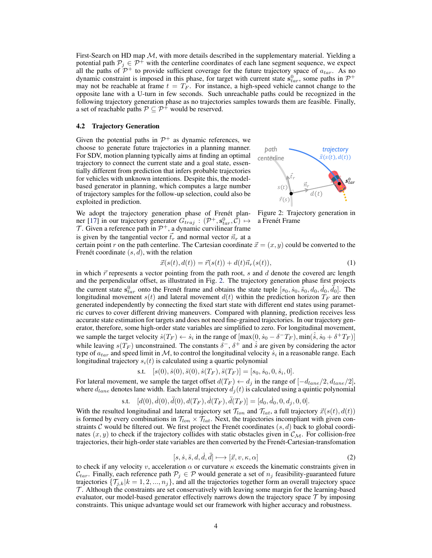First-Search on HD map  $M$ , with more details described in the supplementary material. Yielding a potential path  $P_j \in \mathcal{P}^+$  with the centerline coordinates of each lane segment sequence, we expect all the paths of  $\mathcal{P}^+$  to provide sufficient coverage for the future trajectory space of  $a_{tar}$ . As no dynamic constraint is imposed in this phase, for target with current state  $\mathbf{s}_{tar}^0$ , some paths in  $\mathcal{P}^+$ may not be reachable at frame  $t = T_F$ . For instance, a high-speed vehicle cannot change to the opposite lane with a U-turn in few seconds. Such unreachable paths could be recognized in the following trajectory generation phase as no trajectories samples towards them are feasible. Finally, a set of reachable paths  $P \subseteq P^+$  would be reserved.

#### 4.2 Trajectory Generation

Given the potential paths in  $\mathcal{P}^+$  as dynamic references, we choose to generate future trajectories in a planning manner. For SDV, motion planning typically aims at finding an optimal trajectory to connect the current state and a goal state, essentially different from prediction that infers probable trajectories for vehicles with unknown intentions. Despite this, the modelbased generator in planning, which computes a large number of trajectory samples for the follow-up selection, could also be exploited in prediction.



*trajectory* 

We adopt the trajectory generation phase of Frenét planner [17] in our trajectory generator  $G_{traj}$  :  $(\mathcal{P}^+, \mathbf{s}_{tar}^0, \mathcal{C}) \mapsto$  $\mathcal T$ . Given a reference path in  $\mathcal P^+$ , a dynamic curvilinear frame is given by the tangential vector  $\vec{t}_r$  and normal vector  $\vec{n}_r$  at a

Figure 2: Trajectory generation in a Frenét Frame

certain point r on the path centerline. The Cartesian coordinate  $\vec{x} = (x, y)$  could be converted to the Frenet coordinate  $(s, d)$ , with the relation

$$
\vec{x}(s(t), d(t)) = \vec{r}(s(t)) + d(t)\vec{n}_r(s(t)),
$$
\n(1)

*path* 

in which  $\vec{r}$  represents a vector pointing from the path root, s and d denote the covered arc length and the perpendicular offset, as illustrated in Fig. 2. The trajectory generation phase first projects the current state  $s_{tar}^0$  onto the Frenet frame and obtains the state tuple  $[s_0, \dot{s}_0, \ddot{s}_0, d_0, \ddot{d}_0, \ddot{d}_0]$ . The longitudinal movement  $s(t)$  and lateral movement  $d(t)$  within the prediction horizon  $T_F$  are then generated independently by connecting the fixed start state with different end states using parametric curves to cover different driving maneuvers. Compared with planning, prediction receives less accurate state estimation for targets and does not need fine-grained trajectories. In our trajectory generator, therefore, some high-order state variables are simplified to zero. For longitudinal movement, we sample the target velocity  $\dot{s}(T_F) \leftarrow \dot{s}_i$  in the range of  $[\max(0, \dot{s}_0 - \delta^T T_F), \min(\hat{s}, \dot{s}_0 + \delta^T T_F)]$ while leaving  $s(T_F)$  unconstrained. The constants  $\delta^-$ ,  $\delta^+$  and  $\hat{s}$  are given by considering the actor type of  $a_{tar}$  and speed limit in M, to control the longitudinal velocity  $\dot{s}_i$  in a reasonable range. Each longitudinal trajectory  $s_i(t)$  is calculated using a quartic polynomial

$$
s.t. \quad [s(0), \dot{s}(0), \ddot{s}(0), \dot{s}(T_F), \ddot{s}(T_F)] = [s_0, \dot{s}_0, 0, \dot{s}_i, 0].
$$

For lateral movement, we sample the target offset  $d(T_F) \leftarrow d_i$  in the range of  $[-d_{lane}/2, d_{lane}/2]$ , where  $d_{lane}$  denotes lane width. Each lateral trajectory  $d_i(t)$  is calculated using a quintic polynomial

s.t. 
$$
[d(0), \dot{d}(0), \ddot{d}(0), d(T_F), \dot{d}(T_F), \ddot{d}(T_F)] = [d_0, \dot{d}_0, 0, d_j, 0, 0].
$$

With the resulted longitudinal and lateral trajectory set  $\mathcal{T}_{lon}$  and  $\mathcal{T}_{lat}$ , a full trajectory  $\vec{x}(s(t), d(t))$ is formed by every combinations in  $\mathcal{T}_{lon} \times \mathcal{T}_{lat}$ . Next, the trajectories incompliant with given constraints C would be filtered out. We first project the Frenet coordinates  $(s, d)$  back to global coordinates  $(x, y)$  to check if the trajectory collides with static obstacles given in  $\mathcal{C}_M$ . For collision-free trajectories, their high-order state variables are then converted by the Frenet-Cartesian-transfomation ´

$$
[s, \dot{s}, \ddot{s}, d, \dot{d}, \ddot{d}] \longmapsto [\vec{x}, v, \kappa, \alpha] \tag{2}
$$

to check if any velocity v, acceleration  $\alpha$  or curvature  $\kappa$  exceeds the kinematic constraints given in  $C_{tar}$ . Finally, each reference path  $\mathcal{P}_j \in \mathcal{P}$  would generate a set of  $n_j$  feasibility-guaranteed future trajectories  $\{\mathcal{T}_{i,k}|k = 1, 2, ..., n_j\}$ , and all the trajectories together form an overall trajectory space  $\mathcal T$ . Although the constraints are set conservatively with leaving some margin for the learning-based evaluator, our model-based generator effectively narrows down the trajectory space  $\tau$  by imposing constraints. This unique advantage would set our framework with higher accuracy and robustness.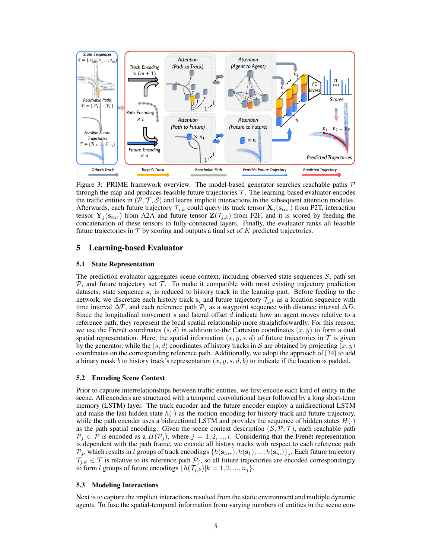

Figure 3: PRIME framework overview. The model-based generator searches reachable paths  $P$ through the map and produces feasible future trajectories  $T$ . The learning-based evaluator encodes the traffic entities in  $(\mathcal{P}, \mathcal{T}, \mathcal{S})$  and learns implicit interactions in the subsequent attention modules. Afterwards, each future trajectory  $\mathcal{T}_{j,k}$  could query its track tensor  $\mathbf{X}_j(\mathbf{s}_{tar})$  from P2T, interaction tensor  $Y_j(s_{tar})$  from A2A and future tensor  $Z(\mathcal{T}_{j,k})$  from F2F, and it is scored by feeding the concatenation of these tensors to fully-connected layers. Finally, the evaluator ranks all feasible future trajectories in  $\mathcal T$  by scoring and outputs a final set of  $K$  predicted trajectories.

# 5 Learning-based Evaluator

#### 5.1 State Representation

The prediction evaluator aggregates scene context, including observed state sequences  $S$ , path set  $P$ , and future trajectory set  $\mathcal T$ . To make it compatible with most existing trajectory prediction datasets, state sequence  $s_i$  is reduced to history track in the learning part. Before feeding to the network, we discretize each history track  $s_i$  and future trajectory  $\mathcal{T}_{j,k}$  as a location sequence with time interval  $\Delta T$ , and each reference path  $\mathcal{P}_j$  as a waypoint sequence with distance interval  $\Delta D$ . Since the longitudinal movement  $s$  and lateral offset  $d$  indicate how an agent moves relative to a reference path, they represent the local spatial relationship more straightforwardly. For this reason, we use the Frenet coordinates  $(s, d)$  in addition to the Cartesian coordinates  $(x, y)$  to form a dual spatial representation. Here, the spatial information  $(x, y, s, d)$  of future trajectories in  $\mathcal T$  is given by the generator, while the  $(s, d)$  coordinates of history tracks in S are obtained by projecting  $(x, y)$ coordinates on the corresponding reference path. Additionally, we adopt the approach of [34] to add a binary mask b to history track's representation  $(x, y, s, d, b)$  to indicate if the location is padded.

#### 5.2 Encoding Scene Context

Prior to capture interrelationships between traffic entities, we first encode each kind of entity in the scene. All encoders are structured with a temporal convolutional layer followed by a long short-term memory (LSTM) layer. The track encoder and the future encoder employ a unidirectional LSTM and make the last hidden state  $h(\cdot)$  as the motion encoding for history track and future trajectory, while the path encoder uses a bidirectional LSTM and provides the sequence of hidden states  $H(\cdot)$ as the path spatial encoding. Given the scene context description  $(S, \mathcal{P}, \mathcal{T})$ , each reachable path  $\mathcal{P}_j \in \mathcal{P}$  is encoded as a  $H(\mathcal{P}_j)$ , where  $j = 1, 2, ..., l$ . Considering that the Frenet representation is dependent with the path frame, we encode all history tracks with respect to each reference path  $\mathcal{P}_j$ , which results in  $l$  groups of track encodings  $\{h(\mathbf{s}_{tar}), h(\mathbf{s}_1), ..., h(\mathbf{s}_m)\}_j$ . Each future trajectory  $\mathcal{T}_{j,k} \in \mathcal{T}$  is relative to its reference path  $\mathcal{P}_j$ , so all future trajectories are encoded correspondingly to form *l* groups of future encodings  $\{h(\mathcal{T}_{j,k})|k=1,2,...,n_j\}$ .

#### 5.3 Modeling Interactions

Next is to capture the implicit interactions resulted from the static environment and multiple dynamic agents. To fuse the spatial-temporal information from varying numbers of entities in the scene con-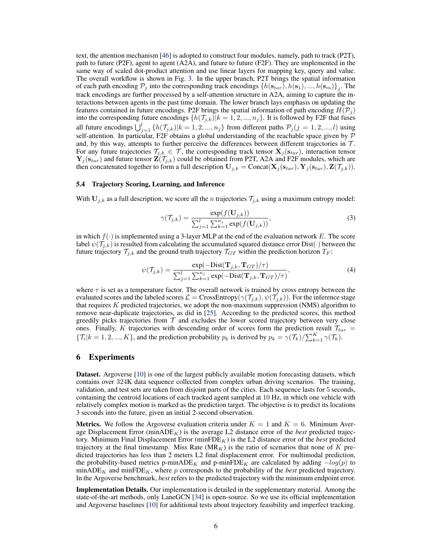text, the attention mechanism [46] is adopted to construct four modules, namely, path to track (P2T), path to future (P2F), agent to agent (A2A), and future to future (F2F). They are implemented in the same way of scaled dot-product attention and use linear layers for mapping key, query and value. The overall workflow is shown in Fig. 3. In the upper branch, P2T brings the spatial information of each path encoding  $\mathcal{P}_j$  into the corresponding track encodings  $\{h(\mathbf{s}_{tar}), h(\mathbf{s}_1), ..., h(\mathbf{s}_m)\}_j$ . The track encodings are further processed by a self-attention structure in A2A, aiming to capture the interactions between agents in the past time domain. The lower branch lays emphasis on updating the features contained in future encodings. P2F brings the spatial information of path encoding  $H(\mathcal{P}_j)$ into the corresponding future encodings  $\{h(\mathcal{T}_{j,k})|k=1,2,...,n_j\}$ . It is followed by F2F that fuses all future encodings  $\bigcup_{j=1}^{l} \{h(\mathcal{T}_{j,k})|k=1,2,...,n_j\}$  from different paths  $\mathcal{P}_j (j=1,2,...,l)$  using self-attention. In particular, F2F obtains a global understanding of the reachable space given by  $P$ and, by this way, attempts to further perceive the differences between different trajectories in  $\mathcal{T}$ . For any future trajectories  $\mathcal{T}_{j,k} \in \mathcal{T}$ , the corresponding track tensor  $\mathbf{X}_j(\mathbf{s}_{tar})$ , interaction tensor  ${\bf Y}_j({\bf s}_{tar})$  and future tensor  ${\bf Z}(\mathcal{T}_{j,k})$  could be obtained from P2T, A2A and F2F modules, which are then concatenated together to form a full description  $U_{j,k} = \text{Concat}(\mathbf{X}_j(\mathbf{s}_{tar}), \mathbf{Y}_j(\mathbf{s}_{tar}), \mathbf{Z}(\mathcal{T}_{j,k})).$ 

### 5.4 Trajectory Scoring, Learning, and Inference

With  $U_{j,k}$  as a full description, we score all the *n* trajectories  $\mathcal{T}_{j,k}$  using a maximum entropy model:

$$
\gamma(\mathcal{T}_{j,k}) = \frac{\exp(f(\mathbf{U}_{j,k}))}{\sum_{j=1}^{l} \sum_{k=1}^{n_j} \exp(f(\mathbf{U}_{j,k}))},
$$
\n(3)

in which  $f(\cdot)$  is implemented using a 3-layer MLP at the end of the evaluation network E. The score label  $\psi(\mathcal{T}_{j,k})$  is resulted from calculating the accumulated squared distance error Dist( $\cdot$ ) between the future trajectory  $\mathcal{T}_{j,k}$  and the ground truth trajectory  $\mathcal{T}_{GT}$  within the prediction horizon  $T_F$ :

$$
\psi(\mathcal{T}_{j,k}) = \frac{\exp(-\text{Dist}(\mathbf{T}_{j,k}, \mathbf{T}_{GT})/\tau)}{\sum_{j=1}^{l} \sum_{k=1}^{n_j} \exp(-\text{Dist}(\mathbf{T}_{j,k}, \mathbf{T}_{GT})/\tau)},\tag{4}
$$

where  $\tau$  is set as a temperature factor. The overall network is trained by cross entropy between the evaluated scores and the labeled scores  $\mathcal{L} = \text{CrossEntropy}(\gamma(\mathcal{T}_{j,k}), \psi(\mathcal{T}_{j,k}))$ . For the inference stage that requires  $K$  predicted trajectories, we adopt the non-maximum suppression (NMS) algorithm to remove near-duplicate trajectories, as did in [25]. According to the predicted scores, this method greedily picks trajectories from  $T$  and excludes the lower scored trajectory between very close ones. Finally, K trajectories with descending order of scores form the prediction result  $\mathcal{T}_{tar}$  =  $\{\mathcal{T}_i | k = 1, 2, ..., K\}$ , and the prediction probability  $p_k$  is derived by  $p_k = \gamma(\mathcal{T}_k)/\sum_{k=1}^K \gamma(\mathcal{T}_k)$ .

## 6 Experiments

Dataset. Argoverse [10] is one of the largest publicly available motion forecasting datasets, which contains over 324K data sequence collected from complex urban driving scenarios. The training, validation, and test sets are taken from disjoint parts of the cities. Each sequence lasts for 5 seconds, containing the centroid locations of each tracked agent sampled at 10 Hz, in which one vehicle with relatively complex motion is marked as the prediction target. The objective is to predict its locations 3 seconds into the future, given an initial 2-second observation.

**Metrics.** We follow the Argoverse evaluation criteria under  $K = 1$  and  $K = 6$ . Minimum Average Displacement Error (min $ADE_K$ ) is the average L2 distance error of the *best* predicted trajectory. Minimum Final Displacement Error (minFD $E_K$ ) is the L2 distance error of the *best* predicted trajectory at the final timestamp. Miss Rate  $(MR_K)$  is the ratio of scenarios that none of K predicted trajectories has less than 2 meters L2 final displacement error. For multimodal prediction, the probability-based metrics p-min $ADE_K$  and p-min $FDE_K$  are calculated by adding  $-log(p)$  to  $minADE_K$  and  $minFDE_K$ , where p corresponds to the probability of the *best* predicted trajectory. In the Argoverse benchmark, *best* refers to the predicted trajectory with the minimum endpoint error.

Implementation Details. Our implementation is detailed in the supplementary material. Among the state-of-the-art methods, only LaneGCN [34] is open-source. So we use its official implementation and Argoverse baselines [10] for additional tests about trajectory feasibility and imperfect tracking.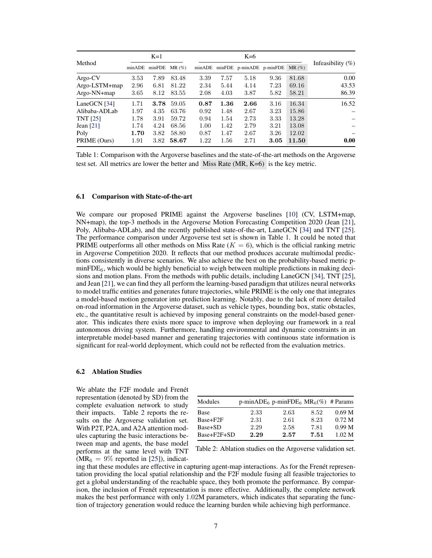|                  | $K=1$  |        |          | $K=6$  |      |                          |      |          |                      |
|------------------|--------|--------|----------|--------|------|--------------------------|------|----------|----------------------|
| Method           | minADE | minFDE | $MR(\%)$ | minADE |      | minFDE p-minADE p-minFDE |      | $MR(\%)$ | Infeasibility $(\%)$ |
| $Argo-CV$        | 3.53   | 7.89   | 83.48    | 3.39   | 7.57 | 5.18                     | 9.36 | 81.68    | 0.00                 |
| $Argo$ -LSTM+map | 2.96   | 6.81   | 81.22    | 2.34   | 5.44 | 4.14                     | 7.23 | 69.16    | 43.53                |
| Argo-NN+map      | 3.65   | 8.12   | 83.55    | 2.08   | 4.03 | 3.87                     | 5.82 | 58.21    | 86.39                |
| LaneGCN $[34]$   | 1.71   | 3.78   | 59.05    | 0.87   | 1.36 | 2.66                     | 3.16 | 16.34    | 16.52                |
| Alibaba-ADLab    | 1.97   | 4.35   | 63.76    | 0.92   | 1.48 | 2.67                     | 3.23 | 15.86    |                      |
| <b>TNT</b> [25]  | 1.78   | 3.91   | 59.72    | 0.94   | 1.54 | 2.73                     | 3.33 | 13.28    |                      |
| Jean $[21]$      | 1.74   | 4.24   | 68.56    | 1.00   | 1.42 | 2.79                     | 3.21 | 13.08    |                      |
| Poly             | 1.70   | 3.82   | 58.80    | 0.87   | 1.47 | 2.67                     | 3.26 | 12.02    |                      |
| PRIME (Ours)     | 1.91   | 3.82   | 58.67    | 1.22   | 1.56 | 2.71                     | 3.05 | 11.50    | 0.00                 |

Table 1: Comparison with the Argoverse baselines and the state-of-the-art methods on the Argoverse test set. All metrics are lower the better and Miss Rate (MR, K=6) is the key metric.

#### 6.1 Comparison with State-of-the-art

We compare our proposed PRIME against the Argoverse baselines [10] (CV, LSTM+map, NN+map), the top-3 methods in the Argoverse Motion Forecasting Competition 2020 (Jean [21], Poly, Alibaba-ADLab), and the recently published state-of-the-art, LaneGCN [34] and TNT [25]. The performance comparison under Argoverse test set is shown in Table 1. It could be noted that PRIME outperforms all other methods on Miss Rate  $(K = 6)$ , which is the official ranking metric in Argoverse Competition 2020. It reflects that our method produces accurate multimodal predictions consistently in diverse scenarios. We also achieve the best on the probability-based metric p $minFDE_6$ , which would be highly beneficial to weigh between multiple predictions in making decisions and motion plans. From the methods with public details, including LaneGCN [34], TNT [25], and Jean [21], we can find they all perform the learning-based paradigm that utilizes neural networks to model traffic entities and generates future trajectories, while PRIME is the only one that integrates a model-based motion generator into prediction learning. Notably, due to the lack of more detailed on-road information in the Argoverse dataset, such as vehicle types, bounding box, static obstacles, etc., the quantitative result is achieved by imposing general constraints on the model-based generator. This indicates there exists more space to improve when deploying our framework in a real autonomous driving system. Furthermore, handling environmental and dynamic constraints in an interpretable model-based manner and generating trajectories with continuous state information is significant for real-world deployment, which could not be reflected from the evaluation metrics.

## 6.2 Ablation Studies

We ablate the F2F module and Frenét representation (denoted by SD) from the complete evaluation network to study their impacts. Table 2 reports the results on the Argoverse validation set. With P2T, P2A, and A2A attention modules capturing the basic interactions between map and agents, the base model performs at the same level with TNT  $(MR_6 = 9\%$  reported in [25]), indicat-

| Modules     | p-min $ADE_6$ p-min $FDE_6$ MR <sub>6</sub> (%) # Params |      |      |                   |
|-------------|----------------------------------------------------------|------|------|-------------------|
| Base        | 2.33                                                     | 2.63 | 8.52 | 0.69 <sub>M</sub> |
| Base+F2F    | 2.31                                                     | 2.61 | 8.23 | 0.72 <sub>M</sub> |
| Base+SD     | 2.29                                                     | 2.58 | 7.81 | 0.99 <sub>M</sub> |
| Base+F2F+SD | 2.29                                                     | 2.57 | 7.51 | 1.02 M            |

Table 2: Ablation studies on the Argoverse validation set.

ing that these modules are effective in capturing agent-map interactions. As for the Frenet representation providing the local spatial relationship and the F2F module fusing all feasible trajectories to get a global understanding of the reachable space, they both promote the performance. By comparison, the inclusion of Frenet representation is more effective. Additionally, the complete network makes the best performance with only 1.02M parameters, which indicates that separating the function of trajectory generation would reduce the learning burden while achieving high performance.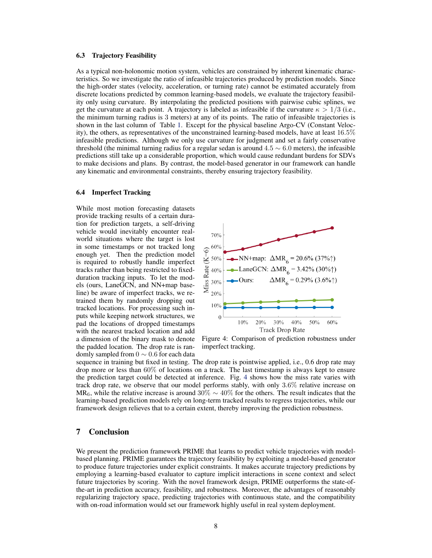#### 6.3 Trajectory Feasibility

As a typical non-holonomic motion system, vehicles are constrained by inherent kinematic characteristics. So we investigate the ratio of infeasible trajectories produced by prediction models. Since the high-order states (velocity, acceleration, or turning rate) cannot be estimated accurately from discrete locations predicted by common learning-based models, we evaluate the trajectory feasibility only using curvature. By interpolating the predicted positions with pairwise cubic splines, we get the curvature at each point. A trajectory is labeled as infeasible if the curvature  $\kappa > 1/3$  (i.e., the minimum turning radius is 3 meters) at any of its points. The ratio of infeasible trajectories is shown in the last column of Table 1. Except for the physical baseline Argo-CV (Constant Velocity), the others, as representatives of the unconstrained learning-based models, have at least 16.5% infeasible predictions. Although we only use curvature for judgment and set a fairly conservative threshold (the minimal turning radius for a regular sedan is around  $4.5 \sim 6.0$  meters), the infeasible predictions still take up a considerable proportion, which would cause redundant burdens for SDVs to make decisions and plans. By contrast, the model-based generator in our framework can handle any kinematic and environmental constraints, thereby ensuring trajectory feasibility.

#### 6.4 Imperfect Tracking

While most motion forecasting datasets provide tracking results of a certain duration for prediction targets, a self-driving vehicle would inevitably encounter realworld situations where the target is lost in some timestamps or not tracked long enough yet. Then the prediction model is required to robustly handle imperfect tracks rather than being restricted to fixedduration tracking inputs. To let the models (ours, LaneGCN, and NN+map baseline) be aware of imperfect tracks, we retrained them by randomly dropping out tracked locations. For processing such inputs while keeping network structures, we pad the locations of dropped timestamps with the nearest tracked location and add a dimension of the binary mask to denote the padded location. The drop rate is randomly sampled from  $0 \sim 0.6$  for each data



Figure 4: Comparison of prediction robustness under imperfect tracking.

sequence in training but fixed in testing. The drop rate is pointwise applied, i.e., 0.6 drop rate may drop more or less than 60% of locations on a track. The last timestamp is always kept to ensure the prediction target could be detected at inference. Fig. 4 shows how the miss rate varies with track drop rate, we observe that our model performs stably, with only 3.6% relative increase on MR<sub>6</sub>, while the relative increase is around 30%  $\sim$  40% for the others. The result indicates that the learning-based prediction models rely on long-term tracked results to regress trajectories, while our framework design relieves that to a certain extent, thereby improving the prediction robustness.

# 7 Conclusion

We present the prediction framework PRIME that learns to predict vehicle trajectories with modelbased planning. PRIME guarantees the trajectory feasibility by exploiting a model-based generator to produce future trajectories under explicit constraints. It makes accurate trajectory predictions by employing a learning-based evaluator to capture implicit interactions in scene context and select future trajectories by scoring. With the novel framework design, PRIME outperforms the state-ofthe-art in prediction accuracy, feasibility, and robustness. Moreover, the advantages of reasonably regularizing trajectory space, predicting trajectories with continuous state, and the compatibility with on-road information would set our framework highly useful in real system deployment.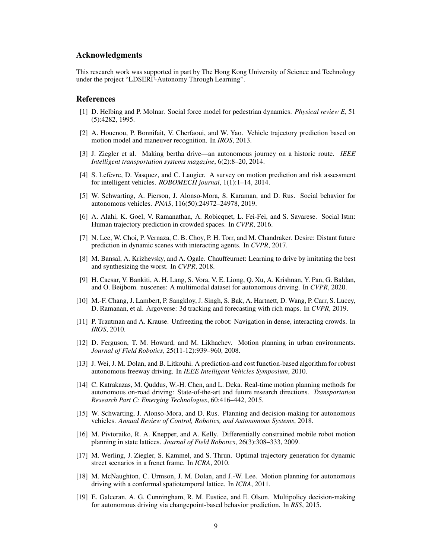# Acknowledgments

This research work was supported in part by The Hong Kong University of Science and Technology under the project "LDSERF-Autonomy Through Learning".

# References

- [1] D. Helbing and P. Molnar. Social force model for pedestrian dynamics. *Physical review E*, 51 (5):4282, 1995.
- [2] A. Houenou, P. Bonnifait, V. Cherfaoui, and W. Yao. Vehicle trajectory prediction based on motion model and maneuver recognition. In *IROS*, 2013.
- [3] J. Ziegler et al. Making bertha drive—an autonomous journey on a historic route. *IEEE Intelligent transportation systems magazine*, 6(2):8–20, 2014.
- [4] S. Lefevre, D. Vasquez, and C. Laugier. A survey on motion prediction and risk assessment ` for intelligent vehicles. *ROBOMECH journal*, 1(1):1–14, 2014.
- [5] W. Schwarting, A. Pierson, J. Alonso-Mora, S. Karaman, and D. Rus. Social behavior for autonomous vehicles. *PNAS*, 116(50):24972–24978, 2019.
- [6] A. Alahi, K. Goel, V. Ramanathan, A. Robicquet, L. Fei-Fei, and S. Savarese. Social lstm: Human trajectory prediction in crowded spaces. In *CVPR*, 2016.
- [7] N. Lee, W. Choi, P. Vernaza, C. B. Choy, P. H. Torr, and M. Chandraker. Desire: Distant future prediction in dynamic scenes with interacting agents. In *CVPR*, 2017.
- [8] M. Bansal, A. Krizhevsky, and A. Ogale. Chauffeurnet: Learning to drive by imitating the best and synthesizing the worst. In *CVPR*, 2018.
- [9] H. Caesar, V. Bankiti, A. H. Lang, S. Vora, V. E. Liong, Q. Xu, A. Krishnan, Y. Pan, G. Baldan, and O. Beijbom. nuscenes: A multimodal dataset for autonomous driving. In *CVPR*, 2020.
- [10] M.-F. Chang, J. Lambert, P. Sangkloy, J. Singh, S. Bak, A. Hartnett, D. Wang, P. Carr, S. Lucey, D. Ramanan, et al. Argoverse: 3d tracking and forecasting with rich maps. In *CVPR*, 2019.
- [11] P. Trautman and A. Krause. Unfreezing the robot: Navigation in dense, interacting crowds. In *IROS*, 2010.
- [12] D. Ferguson, T. M. Howard, and M. Likhachev. Motion planning in urban environments. *Journal of Field Robotics*, 25(11-12):939–960, 2008.
- [13] J. Wei, J. M. Dolan, and B. Litkouhi. A prediction-and cost function-based algorithm for robust autonomous freeway driving. In *IEEE Intelligent Vehicles Symposium*, 2010.
- [14] C. Katrakazas, M. Quddus, W.-H. Chen, and L. Deka. Real-time motion planning methods for autonomous on-road driving: State-of-the-art and future research directions. *Transportation Research Part C: Emerging Technologies*, 60:416–442, 2015.
- [15] W. Schwarting, J. Alonso-Mora, and D. Rus. Planning and decision-making for autonomous vehicles. *Annual Review of Control, Robotics, and Autonomous Systems*, 2018.
- [16] M. Pivtoraiko, R. A. Knepper, and A. Kelly. Differentially constrained mobile robot motion planning in state lattices. *Journal of Field Robotics*, 26(3):308–333, 2009.
- [17] M. Werling, J. Ziegler, S. Kammel, and S. Thrun. Optimal trajectory generation for dynamic street scenarios in a frenet frame. In *ICRA*, 2010.
- [18] M. McNaughton, C. Urmson, J. M. Dolan, and J.-W. Lee. Motion planning for autonomous driving with a conformal spatiotemporal lattice. In *ICRA*, 2011.
- [19] E. Galceran, A. G. Cunningham, R. M. Eustice, and E. Olson. Multipolicy decision-making for autonomous driving via changepoint-based behavior prediction. In *RSS*, 2015.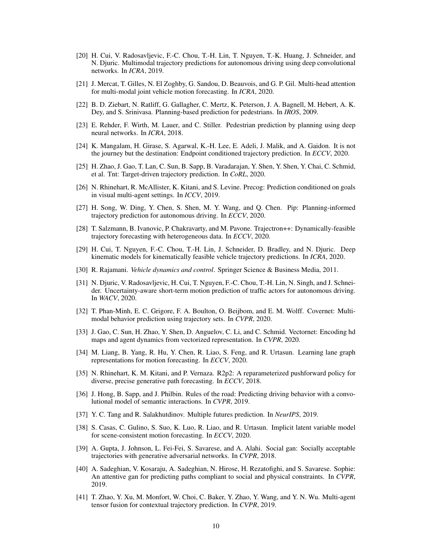- [20] H. Cui, V. Radosavljevic, F.-C. Chou, T.-H. Lin, T. Nguyen, T.-K. Huang, J. Schneider, and N. Djuric. Multimodal trajectory predictions for autonomous driving using deep convolutional networks. In *ICRA*, 2019.
- [21] J. Mercat, T. Gilles, N. El Zoghby, G. Sandou, D. Beauvois, and G. P. Gil. Multi-head attention for multi-modal joint vehicle motion forecasting. In *ICRA*, 2020.
- [22] B. D. Ziebart, N. Ratliff, G. Gallagher, C. Mertz, K. Peterson, J. A. Bagnell, M. Hebert, A. K. Dey, and S. Srinivasa. Planning-based prediction for pedestrians. In *IROS*, 2009.
- [23] E. Rehder, F. Wirth, M. Lauer, and C. Stiller. Pedestrian prediction by planning using deep neural networks. In *ICRA*, 2018.
- [24] K. Mangalam, H. Girase, S. Agarwal, K.-H. Lee, E. Adeli, J. Malik, and A. Gaidon. It is not the journey but the destination: Endpoint conditioned trajectory prediction. In *ECCV*, 2020.
- [25] H. Zhao, J. Gao, T. Lan, C. Sun, B. Sapp, B. Varadarajan, Y. Shen, Y. Shen, Y. Chai, C. Schmid, et al. Tnt: Target-driven trajectory prediction. In *CoRL*, 2020.
- [26] N. Rhinehart, R. McAllister, K. Kitani, and S. Levine. Precog: Prediction conditioned on goals in visual multi-agent settings. In *ICCV*, 2019.
- [27] H. Song, W. Ding, Y. Chen, S. Shen, M. Y. Wang, and Q. Chen. Pip: Planning-informed trajectory prediction for autonomous driving. In *ECCV*, 2020.
- [28] T. Salzmann, B. Ivanovic, P. Chakravarty, and M. Pavone. Trajectron++: Dynamically-feasible trajectory forecasting with heterogeneous data. In *ECCV*, 2020.
- [29] H. Cui, T. Nguyen, F.-C. Chou, T.-H. Lin, J. Schneider, D. Bradley, and N. Djuric. Deep kinematic models for kinematically feasible vehicle trajectory predictions. In *ICRA*, 2020.
- [30] R. Rajamani. *Vehicle dynamics and control*. Springer Science & Business Media, 2011.
- [31] N. Djuric, V. Radosavljevic, H. Cui, T. Nguyen, F.-C. Chou, T.-H. Lin, N. Singh, and J. Schneider. Uncertainty-aware short-term motion prediction of traffic actors for autonomous driving. In *WACV*, 2020.
- [32] T. Phan-Minh, E. C. Grigore, F. A. Boulton, O. Beijbom, and E. M. Wolff. Covernet: Multimodal behavior prediction using trajectory sets. In *CVPR*, 2020.
- [33] J. Gao, C. Sun, H. Zhao, Y. Shen, D. Anguelov, C. Li, and C. Schmid. Vectornet: Encoding hd maps and agent dynamics from vectorized representation. In *CVPR*, 2020.
- [34] M. Liang, B. Yang, R. Hu, Y. Chen, R. Liao, S. Feng, and R. Urtasun. Learning lane graph representations for motion forecasting. In *ECCV*, 2020.
- [35] N. Rhinehart, K. M. Kitani, and P. Vernaza. R2p2: A reparameterized pushforward policy for diverse, precise generative path forecasting. In *ECCV*, 2018.
- [36] J. Hong, B. Sapp, and J. Philbin. Rules of the road: Predicting driving behavior with a convolutional model of semantic interactions. In *CVPR*, 2019.
- [37] Y. C. Tang and R. Salakhutdinov. Multiple futures prediction. In *NeurIPS*, 2019.
- [38] S. Casas, C. Gulino, S. Suo, K. Luo, R. Liao, and R. Urtasun. Implicit latent variable model for scene-consistent motion forecasting. In *ECCV*, 2020.
- [39] A. Gupta, J. Johnson, L. Fei-Fei, S. Savarese, and A. Alahi. Social gan: Socially acceptable trajectories with generative adversarial networks. In *CVPR*, 2018.
- [40] A. Sadeghian, V. Kosaraju, A. Sadeghian, N. Hirose, H. Rezatofighi, and S. Savarese. Sophie: An attentive gan for predicting paths compliant to social and physical constraints. In *CVPR*, 2019.
- [41] T. Zhao, Y. Xu, M. Monfort, W. Choi, C. Baker, Y. Zhao, Y. Wang, and Y. N. Wu. Multi-agent tensor fusion for contextual trajectory prediction. In *CVPR*, 2019.